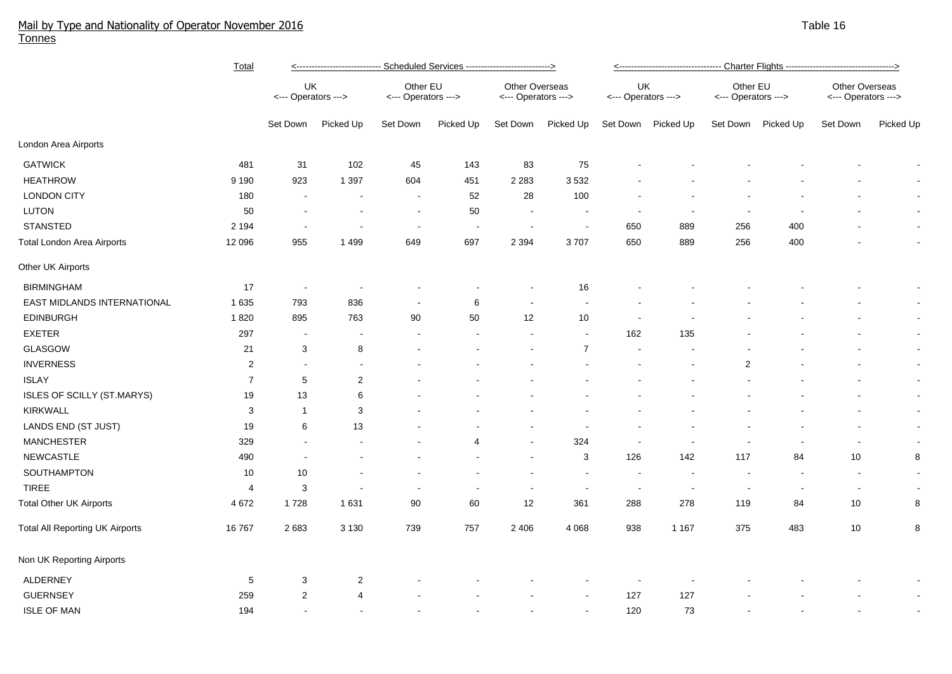## Mail by Type and Nationality of Operator November 2016 Table 16 and the state of the state of the state 16 and the state 16 and the state 16 and the state 16 and the 16 and the 16 and the 16 and the 16 and the 16 and the 1 Tonnes

|                                        | <b>Total</b>   | <---------------------------- Scheduled Services ---------------------------> |                           |                                 |                          |                                       |                          |                           |                    |                                 |           |                                       |                          |  |  |
|----------------------------------------|----------------|-------------------------------------------------------------------------------|---------------------------|---------------------------------|--------------------------|---------------------------------------|--------------------------|---------------------------|--------------------|---------------------------------|-----------|---------------------------------------|--------------------------|--|--|
|                                        |                | UK<br><--- Operators --->                                                     |                           | Other EU<br><--- Operators ---> |                          | Other Overseas<br><--- Operators ---> |                          | UK<br><--- Operators ---> |                    | Other EU<br><--- Operators ---> |           | Other Overseas<br><--- Operators ---> |                          |  |  |
|                                        |                | Set Down                                                                      | Picked Up                 | Set Down                        | Picked Up                | Set Down                              | Picked Up                |                           | Set Down Picked Up | Set Down                        | Picked Up | Set Down                              | Picked Up                |  |  |
| London Area Airports                   |                |                                                                               |                           |                                 |                          |                                       |                          |                           |                    |                                 |           |                                       |                          |  |  |
| <b>GATWICK</b>                         | 481            | 31                                                                            | 102                       | 45                              | 143                      | 83                                    | 75                       |                           |                    |                                 |           |                                       |                          |  |  |
| <b>HEATHROW</b>                        | 9 1 9 0        | 923                                                                           | 1 3 9 7                   | 604                             | 451                      | 2 2 8 3                               | 3532                     |                           |                    |                                 |           |                                       | $\overline{\phantom{a}}$ |  |  |
| <b>LONDON CITY</b>                     | 180            |                                                                               | $\blacksquare$            | $\sim$                          | 52                       | 28                                    | 100                      |                           |                    |                                 |           |                                       | $\overline{\phantom{a}}$ |  |  |
| LUTON                                  | 50             |                                                                               | $\overline{\phantom{a}}$  |                                 | 50                       | $\sim$                                |                          | $\overline{\phantom{a}}$  |                    | $\overline{\phantom{a}}$        |           |                                       | $\blacksquare$           |  |  |
| <b>STANSTED</b>                        | 2 1 9 4        |                                                                               | $\overline{\phantom{a}}$  | $\blacksquare$                  | $\overline{\phantom{a}}$ | $\overline{\phantom{a}}$              | $\overline{\phantom{a}}$ | 650                       | 889                | 256                             | 400       |                                       | $\blacksquare$           |  |  |
| <b>Total London Area Airports</b>      | 12 096         | 955                                                                           | 1 4 9 9                   | 649                             | 697                      | 2 3 9 4                               | 3707                     | 650                       | 889                | 256                             | 400       |                                       | $\blacksquare$           |  |  |
| Other UK Airports                      |                |                                                                               |                           |                                 |                          |                                       |                          |                           |                    |                                 |           |                                       |                          |  |  |
| <b>BIRMINGHAM</b>                      | 17             | $\overline{\phantom{a}}$                                                      | $\overline{\phantom{a}}$  |                                 |                          | $\overline{\phantom{a}}$              | 16                       |                           |                    |                                 |           |                                       | $\overline{\phantom{a}}$ |  |  |
| EAST MIDLANDS INTERNATIONAL            | 1 6 3 5        | 793                                                                           | 836                       | $\overline{\phantom{a}}$        | 6                        |                                       | $\overline{a}$           |                           |                    |                                 |           |                                       | $\sim$                   |  |  |
| <b>EDINBURGH</b>                       | 1820           | 895                                                                           | 763                       | 90                              | 50                       | 12                                    | $10$                     |                           |                    |                                 |           |                                       | $\sim$                   |  |  |
| <b>EXETER</b>                          | 297            | $\blacksquare$                                                                | $\overline{\phantom{a}}$  | $\overline{\phantom{a}}$        | $\overline{\phantom{a}}$ |                                       | $\sim$                   | 162                       | 135                |                                 |           |                                       | $\blacksquare$           |  |  |
| GLASGOW                                | 21             | 3                                                                             | 8                         |                                 |                          |                                       | $\overline{7}$           | $\sim$                    |                    |                                 |           |                                       | $\overline{\phantom{a}}$ |  |  |
| <b>INVERNESS</b>                       | $\sqrt{2}$     | $\blacksquare$                                                                | $\blacksquare$            |                                 |                          |                                       |                          |                           |                    | $\overline{c}$                  |           |                                       | $\blacksquare$           |  |  |
| <b>ISLAY</b>                           | $\overline{7}$ | 5                                                                             | $\overline{c}$            |                                 |                          |                                       |                          |                           |                    |                                 |           |                                       | $\sim$                   |  |  |
| ISLES OF SCILLY (ST.MARYS)             | 19             | 13                                                                            | 6                         |                                 |                          |                                       |                          |                           |                    |                                 |           |                                       | $\sim$                   |  |  |
| <b>KIRKWALL</b>                        | 3              | $\overline{1}$                                                                | $\ensuremath{\mathsf{3}}$ |                                 |                          |                                       |                          |                           |                    |                                 |           |                                       | $\overline{\phantom{a}}$ |  |  |
| LANDS END (ST JUST)                    | 19             | 6                                                                             | 13                        |                                 |                          |                                       |                          |                           |                    |                                 |           |                                       | $\sim$                   |  |  |
| <b>MANCHESTER</b>                      | 329            | $\blacksquare$                                                                |                           |                                 | 4                        |                                       | 324                      | $\overline{\phantom{a}}$  |                    |                                 |           |                                       |                          |  |  |
| NEWCASTLE                              | 490            | $\overline{\phantom{a}}$                                                      |                           |                                 |                          |                                       | 3                        | 126                       | 142                | 117                             | 84        | 10                                    | 8                        |  |  |
| SOUTHAMPTON                            | 10             | 10                                                                            |                           |                                 |                          |                                       | $\blacksquare$           | $\overline{\phantom{a}}$  |                    | $\sim$                          | ÷         | $\overline{\phantom{a}}$              |                          |  |  |
| <b>TIREE</b>                           | $\overline{4}$ | 3                                                                             |                           |                                 | $\blacksquare$           |                                       | $\blacksquare$           | $\sim$                    | $\sim$             | $\sim$                          |           |                                       |                          |  |  |
| <b>Total Other UK Airports</b>         | 4 6 7 2        | 1728                                                                          | 1631                      | 90                              | 60                       | 12                                    | 361                      | 288                       | 278                | 119                             | 84        | 10                                    | 8                        |  |  |
| <b>Total All Reporting UK Airports</b> | 16767          | 2683                                                                          | 3 1 3 0                   | 739                             | 757                      | 2 4 0 6                               | 4 0 6 8                  | 938                       | 1 1 6 7            | 375                             | 483       | 10                                    | 8                        |  |  |
| Non UK Reporting Airports              |                |                                                                               |                           |                                 |                          |                                       |                          |                           |                    |                                 |           |                                       |                          |  |  |
| <b>ALDERNEY</b>                        | 5              | 3                                                                             | $\overline{2}$            |                                 |                          |                                       |                          |                           |                    |                                 |           |                                       |                          |  |  |
| <b>GUERNSEY</b>                        | 259            | $\overline{2}$                                                                | $\overline{4}$            |                                 |                          |                                       |                          | 127                       | 127                |                                 |           |                                       |                          |  |  |
| <b>ISLE OF MAN</b>                     | 194            |                                                                               |                           |                                 |                          |                                       |                          | 120                       | 73                 |                                 |           |                                       |                          |  |  |